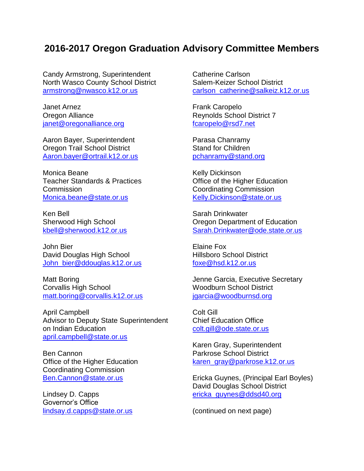## **2016-2017 Oregon Graduation Advisory Committee Members**

Candy Armstrong, Superintendent North Wasco County School District [armstrong@nwasco.k12.or.us](mailto:armstrong@nwasco.k12.or.us)

Janet Arnez Oregon Alliance [janet@oregonalliance.org](mailto:janet@oregonalliance.org)

Aaron Bayer, Superintendent Oregon Trail School District [Aaron.bayer@ortrail.k12.or.us](mailto:Aaron.bayer@ortrail.k12.or.us)

Monica Beane Teacher Standards & Practices **Commission** [Monica.beane@state.or.us](mailto:Monica.beane@state.or.us)

Ken Bell Sherwood High School [kbell@sherwood.k12.or.us](mailto:kbell@sherwood.k12.or.us)

John Bier David Douglas High School [John\\_bier@ddouglas.k12.or.us](mailto:John_bier@ddouglas.k12.or.us)

Matt Boring Corvallis High School [matt.boring@corvallis.k12.or.us](mailto:matt.boring@corvallis.k12.or.us)

April Campbell Advisor to Deputy State Superintendent on Indian Education [april.campbell@state.or.us](mailto:april.campbell@state.or.us)

Ben Cannon Office of the Higher Education Coordinating Commission [Ben.Cannon@state.or.us](mailto:Ben.Cannon@state.or.us)

Lindsey D. Capps Governor's Office [lindsay.d.capps@state.or.us](mailto:lindsay.d.capps@state.or.us) Catherine Carlson Salem-Keizer School District [carlson\\_catherine@salkeiz.k12.or.us](mailto:carlson_catherine@salkeiz.k12.or.us)

Frank Caropelo Reynolds School District 7 [fcaropelo@rsd7.net](mailto:fcaropelo@rsd7.net)

Parasa Chanramy Stand for Children [pchanramy@stand.org](mailto:pchanramy@stand.org)

Kelly Dickinson Office of the Higher Education Coordinating Commission [Kelly.Dickinson@state.or.us](mailto:Kelly.Dickinson@state.or.us)

Sarah Drinkwater Oregon Department of Education [Sarah.Drinkwater@ode.state.or.us](mailto:Sarah.Drinkwater@ode.state.or.us)

Elaine Fox Hillsboro School District [foxe@hsd.k12.or.us](mailto:foxe@hsd.k12.or.us)

Jenne Garcia, Executive Secretary Woodburn School District [jgarcia@woodburnsd.org](mailto:jgarcia@woodburnsd.org)

Colt Gill Chief Education Office [colt.gill@ode.state.or.us](mailto:colt.gill@ode.state.or.us)

Karen Gray, Superintendent Parkrose School District [karen\\_gray@parkrose.k12.or.us](mailto:karen_gray@parkrose.k12.or.us)

Ericka Guynes, (Principal Earl Boyles) David Douglas School District [ericka\\_guynes@ddsd40.org](mailto:ericka_guynes@ddsd40.org)

(continued on next page)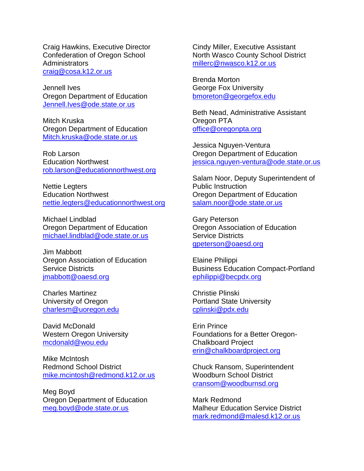Craig Hawkins, Executive Director Confederation of Oregon School **Administrators** [craig@cosa.k12.or.us](mailto:craig@cosa.k12.or.us)

Jennell Ives Oregon Department of Education [Jennell.Ives@ode.state.or.us](mailto:Jennell.Ives@ode.state.or.us)

Mitch Kruska Oregon Department of Education [Mitch.kruska@ode.state.or.us](mailto:Mitch.kruska@ode.state.or.us)

Rob Larson Education Northwest [rob.larson@educationnorthwest.org](mailto:rob.larson@educationnorthwest.org)

Nettie Legters Education Northwest [nettie.legters@educationnorthwest.org](mailto:nettie.legters@educationnorthwest.org)

Michael Lindblad Oregon Department of Education [michael.lindblad@ode.state.or.us](mailto:michael.lindblad@ode.state.or.us)

Jim Mabbott Oregon Association of Education Service Districts [jmabbott@oaesd.org](mailto:jmabbott@oaesd.org)

Charles Martinez University of Oregon [charlesm@uoregon.edu](mailto:charlesm@uoregon.edu)

David McDonald Western Oregon University [mcdonald@wou.edu](mailto:mcdonald@wou.edu)

Mike McIntosh Redmond School District [mike.mcintosh@redmond.k12.or.us](mailto:mike.mcintosh@redmond.k12.or.us)

Meg Boyd Oregon Department of Education [meg.boyd@ode.state.or.us](mailto:meg.boyd@ode.state.or.us)

Cindy Miller, Executive Assistant North Wasco County School District [millerc@nwasco.k12.or.us](mailto:millerc@nwasco.k12.or.us)

Brenda Morton George Fox University [bmoreton@georgefox.edu](mailto:bmoreton@georgefox.edu)

Beth Nead, Administrative Assistant Oregon PTA [office@oregonpta.org](mailto:office@oregonpta.org)

Jessica Nguyen-Ventura Oregon Department of Education [jessica.nguyen-ventura@ode.state.or.us](mailto:jessica.nguyen-ventura@ode.state.or.us)

Salam Noor, Deputy Superintendent of Public Instruction Oregon Department of Education [salam.noor@ode.state.or.us](mailto:salam.noor@ode.state.or.us)

Gary Peterson Oregon Association of Education Service Districts [gpeterson@oaesd.org](mailto:gpeterson@oaesd.org)

Elaine Philippi Business Education Compact-Portland [ephilippi@becpdx.org](mailto:ephilippi@becpdx.org)

Christie Plinski Portland State University [cplinski@pdx.edu](mailto:cplinski@pdx.edu)

Erin Prince Foundations for a Better Oregon-Chalkboard Project [erin@chalkboardproject.org](mailto:erin@chalkboardproject.org)

Chuck Ransom, Superintendent Woodburn School District [cransom@woodburnsd.org](mailto:cransom@woodburnsd.org)

Mark Redmond Malheur Education Service District [mark.redmond@malesd.k12.or.us](mailto:mark.redmond@malesd.k12.or.us)